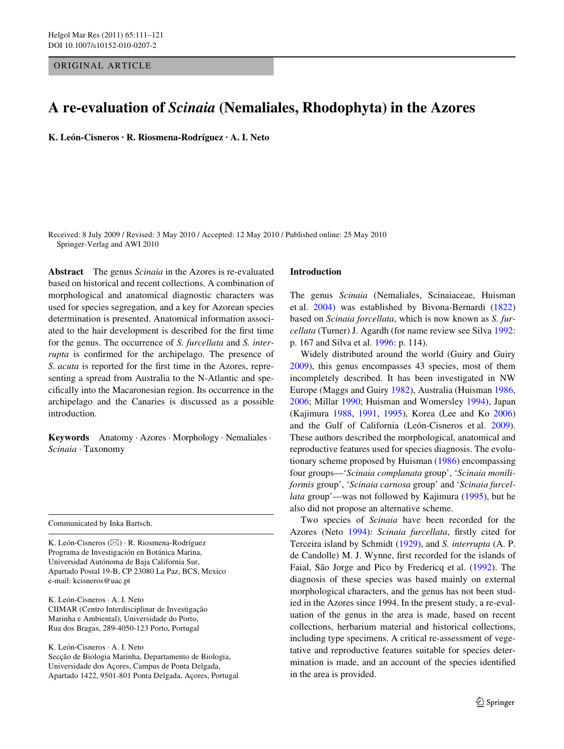## ORIGINAL ARTICLE

# **A re-evaluation of** *Scinaia* **(Nemaliales, Rhodophyta) in the Azores**

**K. León-Cisneros · R. Riosmena-Rodríguez · A. I. Neto** 

Received: 8 July 2009 / Revised: 3 May 2010 / Accepted: 12 May 2010 / Published online: 25 May 2010 Springer-Verlag and AWI 2010

**Abstract** The genus *Scinaia* in the Azores is re-evaluated based on historical and recent collections. A combination of morphological and anatomical diagnostic characters was used for species segregation, and a key for Azorean species determination is presented. Anatomical information associated to the hair development is described for the first time for the genus. The occurrence of *S. furcellata* and *S. interrupta* is confirmed for the archipelago. The presence of *S. acuta* is reported for the first time in the Azores, representing a spread from Australia to the N-Atlantic and specifically into the Macaronesian region. Its occurrence in the archipelago and the Canaries is discussed as a possible introduction.

**Keywords** Anatomy · Azores · Morphology · Nemaliales · *Scinaia* · Taxonomy

Communicated by Inka Bartsch.

K. León-Cisneros (&) · R. Riosmena-Rodríguez Programa de Investigación en Botánica Marina, Universidad Autónoma de Baja California Sur, Apartado Postal 19-B, CP 23080 La Paz, BCS, Mexico e-mail: kcisneros@uac.pt

K. León-Cisneros · A. I. Neto CIIMAR (Centro Interdisciplinar de Investigação Marinha e Ambiental), Universidade do Porto, Rua dos Bragas, 289-4050-123 Porto, Portugal

K. León-Cisneros · A. I. Neto Secção de Biologia Marinha, Departamento de Biologia, Universidade dos Açores, Campus de Ponta Delgada, Apartado 1422, 9501-801 Ponta Delgada, Açores, Portugal

### **Introduction**

The genus *Scinaia* (Nemaliales, Scinaiaceae, Huisman et al. 2004) was established by Bivona-Bernardi (1822) based on *Scinaia forcellata*, which is now known as *S. furcellata* (Turner) J. Agardh (for name review see Silva 1992: p. 167 and Silva et al. 1996: p. 114).

Widely distributed around the world (Guiry and Guiry 2009), this genus encompasses 43 species, most of them incompletely described. It has been investigated in NW Europe (Maggs and Guiry 1982), Australia (Huisman 1986, 2006; Millar 1990; Huisman and Womersley 1994), Japan (Kajimura 1988, 1991, 1995), Korea (Lee and Ko 2006) and the Gulf of California (León-Cisneros et al. 2009). These authors described the morphological, anatomical and reproductive features used for species diagnosis. The evolutionary scheme proposed by Huisman (1986) encompassing four groups—'*Scinaia complanata* group', '*Scinaia moniliformis* group', '*Scinaia carnosa* group' and '*Scinaia furcellata* group'—was not followed by Kajimura (1995), but he also did not propose an alternative scheme.

Two species of *Scinaia* have been recorded for the Azores (Neto 1994): *Scinaia furcellata*, firstly cited for Terceira island by Schmidt (1929), and *S. interrupta* (A. P. de Candolle) M. J. Wynne, first recorded for the islands of Faial, São Jorge and Pico by Fredericq et al. (1992). The diagnosis of these species was based mainly on external morphological characters, and the genus has not been studied in the Azores since 1994. In the present study, a re-evaluation of the genus in the area is made, based on recent collections, herbarium material and historical collections, including type specimens. A critical re-assessment of vegetative and reproductive features suitable for species determination is made, and an account of the species identified in the area is provided.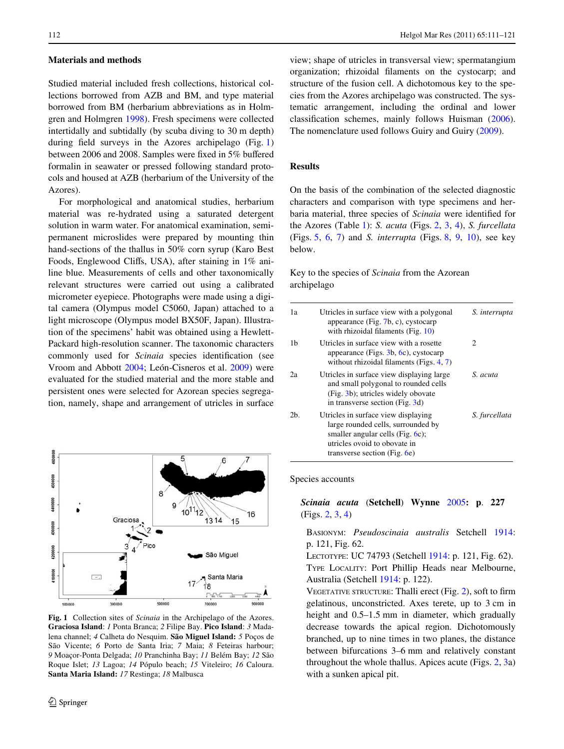# **Materials and methods**

Studied material included fresh collections, historical collections borrowed from AZB and BM, and type material borrowed from BM (herbarium abbreviations as in Holmgren and Holmgren [1998](#page-9-0)). Fresh specimens were collected intertidally and subtidally (by scuba diving to 30 m depth) during field surveys in the Azores archipelago (Fig. [1\)](#page-1-0) between 2006 and 2008. Samples were fixed in 5% buffered formalin in seawater or pressed following standard protocols and housed at AZB (herbarium of the University of the Azores).

For morphological and anatomical studies, herbarium material was re-hydrated using a saturated detergent solution in warm water. For anatomical examination, semipermanent microslides were prepared by mounting thin hand-sections of the thallus in 50% corn syrup (Karo Best Foods, Englewood Cliffs, USA), after staining in 1% aniline blue. Measurements of cells and other taxonomically relevant structures were carried out using a calibrated micrometer eyepiece. Photographs were made using a digital camera (Olympus model C5060, Japan) attached to a light microscope (Olympus model BX50F, Japan). Illustration of the specimens' habit was obtained using a Hewlett-Packard high-resolution scanner. The taxonomic characters commonly used for *Scinaia* species identification (see Vroom and Abbott [2004;](#page-10-0) León-Cisneros et al. [2009](#page-10-1)) were evaluated for the studied material and the more stable and persistent ones were selected for Azorean species segregation, namely, shape and arrangement of utricles in surface



<span id="page-1-0"></span>**Fig. 1** Collection sites of *Scinaia* in the Archipelago of the Azores. **Graciosa Island**: *1* Ponta Branca; *2* Filipe Bay. **Pico Island**: *3* Madalena channel; *4* Calheta do Nesquim. **São Miguel Island:** *5* Poços de São Vicente; *6* Porto de Santa Iria; *7* Maia; *8* Feteiras harbour; *9* Moaçor-Ponta Delgada; *10* Pranchinha Bay; *11* Belém Bay; *12* São Roque Islet; *13* Lagoa; *14* Pópulo beach; *15* Viteleiro; *16* Caloura. **Santa Maria Island:** *17* Restinga; *18* Malbusca

view; shape of utricles in transversal view; spermatangium organization; rhizoidal filaments on the cystocarp; and structure of the fusion cell. A dichotomous key to the species from the Azores archipelago was constructed. The systematic arrangement, including the ordinal and lower classification schemes, mainly follows Huisman ([2006](#page-9-1)). The nomenclature used follows Guiry and Guiry [\(2009](#page-9-2)).

#### **Results**

On the basis of the combination of the selected diagnostic characters and comparison with type specimens and herbaria material, three species of *Scinaia* were identified for the Azores (Table [1\)](#page-2-0): *S. acuta* (Figs. [2,](#page-2-1) [3](#page-3-0), [4](#page-3-1)), *S. furcellata* (Figs. [5,](#page-4-0) [6](#page-5-0), [7](#page-6-0)) and *S. interrupta* (Figs. [8,](#page-6-1) [9,](#page-7-0) [10\)](#page-8-0), see key below.

## Key to the species of *Scinaia* from the Azorean archipelago

| 1a             | Utricles in surface view with a polygonal<br>appearance (Fig. $7b$ , c), cystocarp<br>with rhizoidal filaments (Fig. 10)                                                            | S. interrupta |
|----------------|-------------------------------------------------------------------------------------------------------------------------------------------------------------------------------------|---------------|
| 1b             | Utricles in surface view with a rosette<br>appearance (Figs. $3b$ , $6c$ ), cystocarp<br>without rhizoidal filaments (Figs. 4, 7)                                                   | 2             |
| 2a             | Utricles in surface view displaying large<br>and small polygonal to rounded cells<br>(Fig. 3b); utricles widely obovate<br>in transverse section (Fig. 3d)                          | S. acuta      |
| 2 <sub>b</sub> | Utricles in surface view displaying<br>large rounded cells, surrounded by<br>smaller angular cells (Fig. $6c$ );<br>utricles ovoid to obovate in<br>transverse section (Fig. $6e$ ) | S. furcellata |

### Species accounts

*Scinaia acuta* (**Setchell**) **Wynne** [2005](#page-10-2)**: p**. **227** (Figs. [2](#page-2-1), [3](#page-3-0), [4](#page-3-1))

BASIONYM: *Pseudoscinaia australis* Setchell [1914:](#page-10-3) p. 121, Fig. 62.

LECTOTYPE: UC 74793 (Setchell [1914](#page-10-3): p. 121, Fig. 62). TYPE LOCALITY: Port Phillip Heads near Melbourne, Australia (Setchell [1914](#page-10-3): p. 122).

VEGETATIVE STRUCTURE: Thalli erect (Fig.  $2$ ), soft to firm gelatinous, unconstricted. Axes terete, up to 3 cm in height and  $0.5-1.5$  mm in diameter, which gradually decrease towards the apical region. Dichotomously branched, up to nine times in two planes, the distance between bifurcations 3–6 mm and relatively constant throughout the whole thallus. Apices acute (Figs. [2,](#page-2-1) [3a](#page-3-0)) with a sunken apical pit.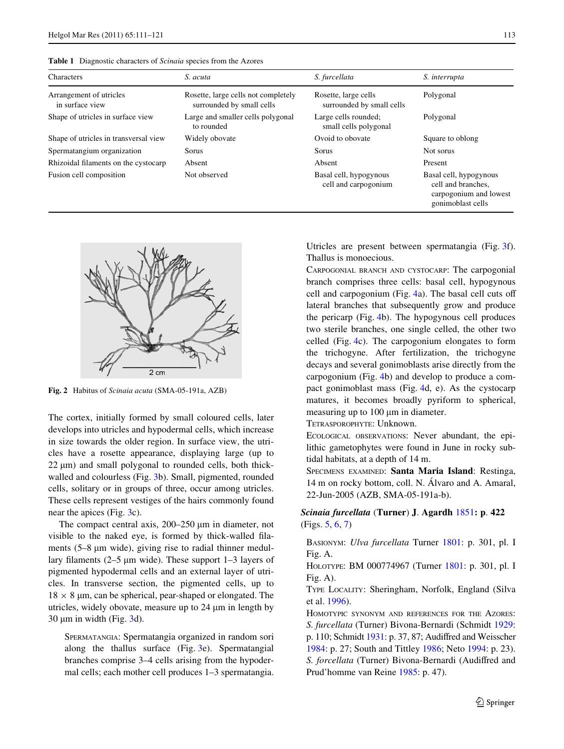<span id="page-2-0"></span>

| Characters                                 | S. acuta                                                         | S. furcellata                                     | S. interrupta                                                                               |
|--------------------------------------------|------------------------------------------------------------------|---------------------------------------------------|---------------------------------------------------------------------------------------------|
| Arrangement of utricles<br>in surface view | Rosette, large cells not completely<br>surrounded by small cells | Rosette, large cells<br>surrounded by small cells | Polygonal                                                                                   |
| Shape of utricles in surface view          | Large and smaller cells polygonal<br>to rounded                  | Large cells rounded;<br>small cells polygonal     | Polygonal                                                                                   |
| Shape of utricles in transversal view      | Widely obovate                                                   | Ovoid to obovate                                  | Square to oblong                                                                            |
| Spermatangium organization                 | Sorus                                                            | Sorus                                             | Not sorus                                                                                   |
| Rhizoidal filaments on the cystocarp       | Absent                                                           | Absent                                            | Present                                                                                     |
| Fusion cell composition                    | Not observed                                                     | Basal cell, hypogynous<br>cell and carpogonium    | Basal cell, hypogynous<br>cell and branches,<br>carpogonium and lowest<br>gonimoblast cells |



<span id="page-2-1"></span>**Fig. 2** Habitus of *Scinaia acuta* (SMA-05-191a, AZB)

The cortex, initially formed by small coloured cells, later develops into utricles and hypodermal cells, which increase in size towards the older region. In surface view, the utricles have a rosette appearance, displaying large (up to  $22 \mu m$ ) and small polygonal to rounded cells, both thickwalled and colourless (Fig. [3](#page-3-0)b). Small, pigmented, rounded cells, solitary or in groups of three, occur among utricles. These cells represent vestiges of the hairs commonly found near the apices (Fig. [3c](#page-3-0)).

The compact central axis,  $200-250 \mu m$  in diameter, not visible to the naked eye, is formed by thick-walled filaments  $(5-8 \mu m)$  wide), giving rise to radial thinner medullary filaments  $(2-5 \mu m)$  wide). These support  $1-3$  layers of pigmented hypodermal cells and an external layer of utricles. In transverse section, the pigmented cells, up to  $18 \times 8$  µm, can be spherical, pear-shaped or elongated. The utricles, widely obovate, measure up to  $24 \mu m$  in length by  $30 \mu m$  $30 \mu m$  in width (Fig.  $3d$ ).

SPERMATANGIA: Spermatangia organized in random sori along the thallus surface (Fig. [3e](#page-3-0)). Spermatangial branches comprise 3–4 cells arising from the hypodermal cells; each mother cell produces 1–3 spermatangia. Utricles are present between spermatangia (Fig. [3](#page-3-0)f). Thallus is monoecious.

CARPOGONIAL BRANCH AND CYSTOCARP: The carpogonial branch comprises three cells: basal cell, hypogynous cell and carpogonium (Fig.  $4a$  $4a$ ). The basal cell cuts off lateral branches that subsequently grow and produce the pericarp (Fig. [4b](#page-3-1)). The hypogynous cell produces two sterile branches, one single celled, the other two celled (Fig. [4](#page-3-1)c). The carpogonium elongates to form the trichogyne. After fertilization, the trichogyne decays and several gonimoblasts arise directly from the carpogonium (Fig. [4b](#page-3-1)) and develop to produce a compact gonimoblast mass (Fig. [4](#page-3-1)d, e). As the cystocarp matures, it becomes broadly pyriform to spherical, measuring up to 100 µm in diameter.

TETRASPOROPHYTE: Unknown.

ECOLOGICAL OBSERVATIONS: Never abundant, the epilithic gametophytes were found in June in rocky subtidal habitats, at a depth of 14 m.

SPECIMENS EXAMINED: **Santa Maria Island**: Restinga, 14 m on rocky bottom, coll. N. Álvaro and A. Amaral, 22-Jun-2005 (AZB, SMA-05-191a-b).

*Scinaia furcellata* (**Turner**) **J**. **Agardh** [1851](#page-9-3)**: p**. **422** (Figs. [5,](#page-4-0) [6](#page-5-0), [7](#page-6-0))

BASIONYM: *Ulva furcellata* Turner [1801:](#page-10-4) p. 301, pl. I Fig. A.

HOLOTYPE: BM 000774967 (Turner [1801:](#page-10-4) p. 301, pl. I Fig. A).

TYPE LOCALITY: Sheringham, Norfolk, England (Silva et al. [1996](#page-10-5)).

HOMOTYPIC SYNONYM AND REFERENCES FOR THE AZORES: *S. furcellata* (Turner) Bivona-Bernardi (Schmidt [1929:](#page-10-6) p. 110; Schmidt  $1931$ : p. 37, 87; Audiffred and Weisscher [1984](#page-9-4): p. 27; South and Tittley [1986;](#page-10-8) Neto [1994](#page-10-9): p. 23). *S. forcellata* (Turner) Bivona-Bernardi (Audiffred and Prud'homme van Reine [1985:](#page-9-5) p. 47).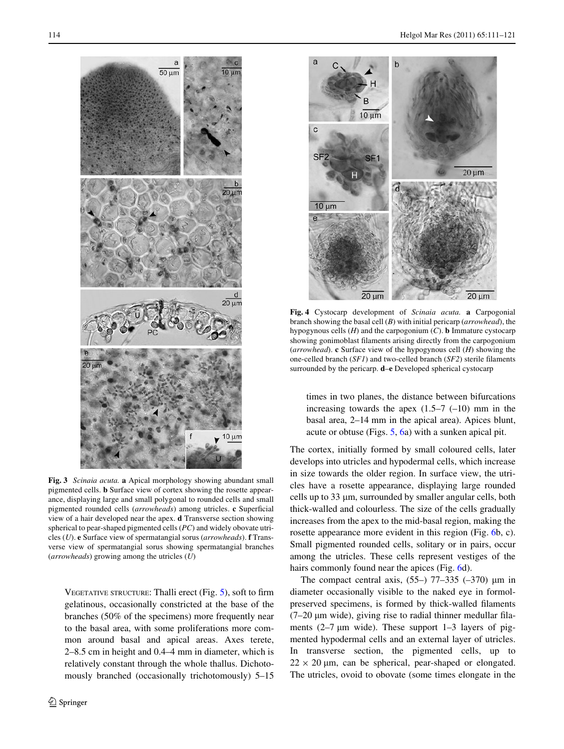

<span id="page-3-0"></span>**Fig. 3** *Scinaia acuta.* **a** Apical morphology showing abundant small pigmented cells. **b** Surface view of cortex showing the rosette appearance, displaying large and small polygonal to rounded cells and small pigmented rounded cells (*arrowheads*) among utricles. **c** Superficial view of a hair developed near the apex. **d** Transverse section showing spherical to pear-shaped pigmented cells (*PC*) and widely obovate utricles (*U*). **e** Surface view of spermatangial sorus (*arrowheads*). **f** Transverse view of spermatangial sorus showing spermatangial branches (*arrowheads*) growing among the utricles (*U*)

VEGETATIVE STRUCTURE: Thalli erect (Fig.  $5$ ), soft to firm gelatinous, occasionally constricted at the base of the branches (50% of the specimens) more frequently near to the basal area, with some proliferations more common around basal and apical areas. Axes terete, 2–8.5 cm in height and 0.4–4 mm in diameter, which is relatively constant through the whole thallus. Dichotomously branched (occasionally trichotomously) 5–15



<span id="page-3-1"></span>**Fig. 4** Cystocarp development of *Scinaia acuta.* **a** Carpogonial branch showing the basal cell (*B*) with initial pericarp (*arrowhead*), the hypogynous cells (*H*) and the carpogonium (*C*). **b** Immature cystocarp showing gonimoblast filaments arising directly from the carpogonium (*arrowhead*). **c** Surface view of the hypogynous cell (*H*) showing the one-celled branch  $(SFI)$  and two-celled branch  $(SF2)$  sterile filaments surrounded by the pericarp. **d**–**e** Developed spherical cystocarp

times in two planes, the distance between bifurcations increasing towards the apex  $(1.5-7$   $(-10)$  mm in the basal area, 2–14 mm in the apical area). Apices blunt, acute or obtuse (Figs. [5,](#page-4-0) [6a](#page-5-0)) with a sunken apical pit.

The cortex, initially formed by small coloured cells, later develops into utricles and hypodermal cells, which increase in size towards the older region. In surface view, the utricles have a rosette appearance, displaying large rounded cells up to 33 µm, surrounded by smaller angular cells, both thick-walled and colourless. The size of the cells gradually increases from the apex to the mid-basal region, making the rosette appearance more evident in this region (Fig. [6](#page-5-0)b, c). Small pigmented rounded cells, solitary or in pairs, occur among the utricles. These cells represent vestiges of the hairs commonly found near the apices (Fig. [6d](#page-5-0)).

The compact central axis,  $(55-)$  77-335  $(-370)$  µm in diameter occasionally visible to the naked eye in formolpreserved specimens, is formed by thick-walled filaments  $(7-20 \mu m)$  wide), giving rise to radial thinner medullar filaments  $(2-7 \mu m)$  wide). These support 1-3 layers of pigmented hypodermal cells and an external layer of utricles. In transverse section, the pigmented cells, up to  $22 \times 20$  µm, can be spherical, pear-shaped or elongated. The utricles, ovoid to obovate (some times elongate in the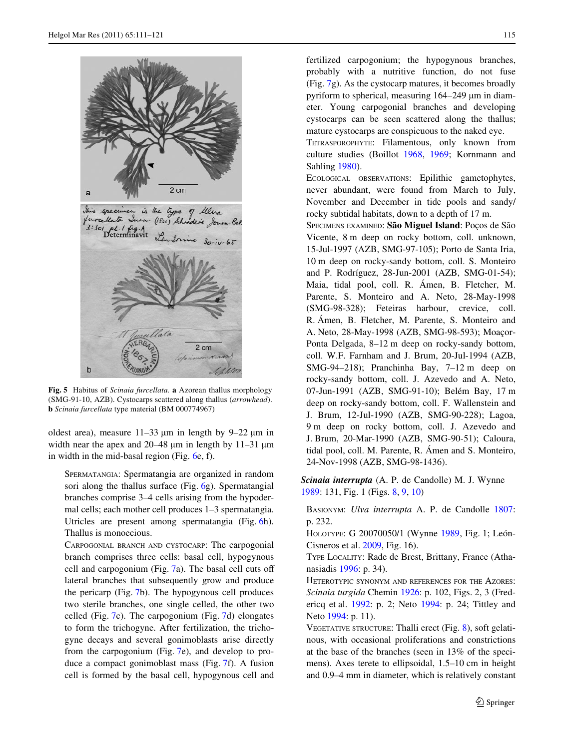

<span id="page-4-0"></span>**Fig. 5** Habitus of *Scinaia furcellata.* **a** Azorean thallus morphology (SMG-91-10, AZB). Cystocarps scattered along thallus (*arrowhead*). **b** *Scinaia furcellata* type material (BM 000774967)

oldest area), measure  $11-33 \mu m$  in length by 9-22  $\mu m$  in width near the apex and  $20-48 \mu m$  in length by  $11-31 \mu m$ in width in the mid-basal region (Fig. [6](#page-5-0)e, f).

SPERMATANGIA: Spermatangia are organized in random sori along the thallus surface (Fig. [6](#page-5-0)g). Spermatangial branches comprise 3–4 cells arising from the hypodermal cells; each mother cell produces 1–3 spermatangia. Utricles are present among spermatangia (Fig. [6](#page-5-0)h). Thallus is monoecious.

CARPOGONIAL BRANCH AND CYSTOCARP: The carpogonial branch comprises three cells: basal cell, hypogynous cell and carpogonium (Fig.  $7a$ ). The basal cell cuts off lateral branches that subsequently grow and produce the pericarp (Fig. [7b](#page-6-0)). The hypogynous cell produces two sterile branches, one single celled, the other two celled (Fig. [7c](#page-6-0)). The carpogonium (Fig. [7](#page-6-0)d) elongates to form the trichogyne. After fertilization, the trichogyne decays and several gonimoblasts arise directly from the carpogonium (Fig. [7e](#page-6-0)), and develop to produce a compact gonimoblast mass (Fig. [7](#page-6-0)f). A fusion cell is formed by the basal cell, hypogynous cell and fertilized carpogonium; the hypogynous branches, probably with a nutritive function, do not fuse (Fig. [7](#page-6-0)g). As the cystocarp matures, it becomes broadly pyriform to spherical, measuring 164–249 µm in diameter. Young carpogonial branches and developing cystocarps can be seen scattered along the thallus; mature cystocarps are conspicuous to the naked eye.

TETRASPOROPHYTE: Filamentous, only known from culture studies (Boillot [1968,](#page-9-6) [1969;](#page-9-7) Kornmann and Sahling [1980](#page-10-10)).

ECOLOGICAL OBSERVATIONS: Epilithic gametophytes, never abundant, were found from March to July, November and December in tide pools and sandy/ rocky subtidal habitats, down to a depth of 17 m.

SPECIMENS EXAMINED: **São Miguel Island**: Poços de São Vicente, 8 m deep on rocky bottom, coll. unknown, 15-Jul-1997 (AZB, SMG-97-105); Porto de Santa Iria, 10 m deep on rocky-sandy bottom, coll. S. Monteiro and P. Rodríguez, 28-Jun-2001 (AZB, SMG-01-54); Maia, tidal pool, coll. R. Ámen, B. Fletcher, M. Parente, S. Monteiro and A. Neto, 28-May-1998 (SMG-98-328); Feteiras harbour, crevice, coll. R. Ámen, B. Fletcher, M. Parente, S. Monteiro and A. Neto, 28-May-1998 (AZB, SMG-98-593); Moaçor-Ponta Delgada, 8–12 m deep on rocky-sandy bottom, coll. W.F. Farnham and J. Brum, 20-Jul-1994 (AZB, SMG-94–218); Pranchinha Bay, 7–12 m deep on rocky-sandy bottom, coll. J. Azevedo and A. Neto, 07-Jun-1991 (AZB, SMG-91-10); Belém Bay, 17 m deep on rocky-sandy bottom, coll. F. Wallenstein and J. Brum, 12-Jul-1990 (AZB, SMG-90-228); Lagoa, 9 m deep on rocky bottom, coll. J. Azevedo and J. Brum, 20-Mar-1990 (AZB, SMG-90-51); Caloura, tidal pool, coll. M. Parente, R. Ámen and S. Monteiro, 24-Nov-1998 (AZB, SMG-98-1436).

*Scinaia interrupta* (A. P. de Candolle) M. J. Wynne [1989](#page-10-11): 131, Fig. 1 (Figs. [8](#page-6-1), [9](#page-7-0), [10](#page-8-0))

BASIONYM: *Ulva interrupta* A. P. de Candolle [1807:](#page-9-8) p. 232.

HOLOTYPE: G 20070050/1 (Wynne [1989](#page-10-11), Fig. 1; León-Cisneros et al. [2009,](#page-10-1) Fig. 16).

TYPE LOCALITY: Rade de Brest, Brittany, France (Athanasiadis [1996:](#page-9-9) p. 34).

HETEROTYPIC SYNONYM AND REFERENCES FOR THE AZORES: *Scinaia turgida* Chemin [1926:](#page-9-10) p. 102, Figs. 2, 3 (Fredericq et al. [1992:](#page-9-11) p. 2; Neto [1994](#page-10-9): p. 24; Tittley and Neto [1994](#page-10-12): p. 11).

VEGETATIVE STRUCTURE: Thalli erect (Fig. [8\)](#page-6-1), soft gelatinous, with occasional proliferations and constrictions at the base of the branches (seen in 13% of the specimens). Axes terete to ellipsoidal, 1.5–10 cm in height and 0.9–4 mm in diameter, which is relatively constant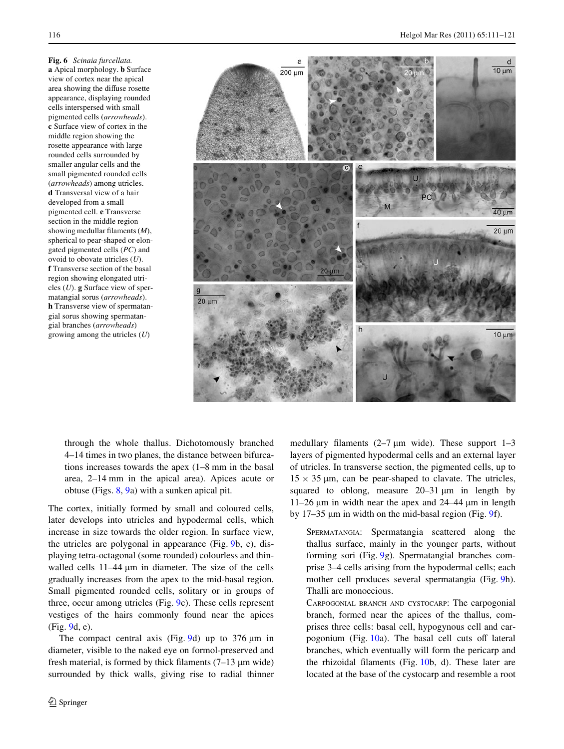<span id="page-5-0"></span>**Fig. 6** *Scinaia furcellata.* **a** Apical morphology. **b** Surface view of cortex near the apical area showing the diffuse rosette appearance, displaying rounded cells interspersed with small pigmented cells (*arrowheads*). **c** Surface view of cortex in the middle region showing the rosette appearance with large rounded cells surrounded by smaller angular cells and the small pigmented rounded cells (*arrowheads*) among utricles. **d** Transversal view of a hair developed from a small pigmented cell. **e** Transverse section in the middle region showing medullar filaments  $(M)$ , spherical to pear-shaped or elongated pigmented cells (*PC*) and ovoid to obovate utricles (*U*). **f** Transverse section of the basal region showing elongated utricles (*U*). **g** Surface view of spermatangial sorus (*arrowheads*). **h** Transverse view of spermatangial sorus showing spermatangial branches (*arrowheads*) growing among the utricles (*U*)



through the whole thallus. Dichotomously branched 4–14 times in two planes, the distance between bifurcations increases towards the apex (1–8 mm in the basal area, 2–14 mm in the apical area). Apices acute or obtuse (Figs. [8](#page-6-1), [9](#page-7-0)a) with a sunken apical pit.

The cortex, initially formed by small and coloured cells, later develops into utricles and hypodermal cells, which increase in size towards the older region. In surface view, the utricles are polygonal in appearance (Fig. [9](#page-7-0)b, c), displaying tetra-octagonal (some rounded) colourless and thinwalled cells  $11-44 \mu m$  in diameter. The size of the cells gradually increases from the apex to the mid-basal region. Small pigmented rounded cells, solitary or in groups of three, occur among utricles (Fig. [9](#page-7-0)c). These cells represent vestiges of the hairs commonly found near the apices (Fig. [9d](#page-7-0), e).

The compact central axis (Fig. [9](#page-7-0)d) up to  $376 \,\mu m$  in diameter, visible to the naked eye on formol-preserved and fresh material, is formed by thick filaments  $(7-13 \mu m)$  wide) surrounded by thick walls, giving rise to radial thinner

medullary filaments  $(2-7 \mu m)$  wide). These support  $1-3$ layers of pigmented hypodermal cells and an external layer of utricles. In transverse section, the pigmented cells, up to  $15 \times 35$  µm, can be pear-shaped to clavate. The utricles, squared to oblong, measure  $20-31 \mu m$  in length by  $11-26 \mu m$  in width near the apex and  $24-44 \mu m$  in length by 17–35 µm in width on the mid-basal region (Fig. [9](#page-7-0)f).

SPERMATANGIA: Spermatangia scattered along the thallus surface, mainly in the younger parts, without forming sori (Fig. [9](#page-7-0)g). Spermatangial branches comprise 3–4 cells arising from the hypodermal cells; each mother cell produces several spermatangia (Fig. [9](#page-7-0)h). Thalli are monoecious.

CARPOGONIAL BRANCH AND CYSTOCARP: The carpogonial branch, formed near the apices of the thallus, comprises three cells: basal cell, hypogynous cell and carpogonium (Fig.  $10a$ ). The basal cell cuts off lateral branches, which eventually will form the pericarp and the rhizoidal filaments (Fig.  $10b$  $10b$ , d). These later are located at the base of the cystocarp and resemble a root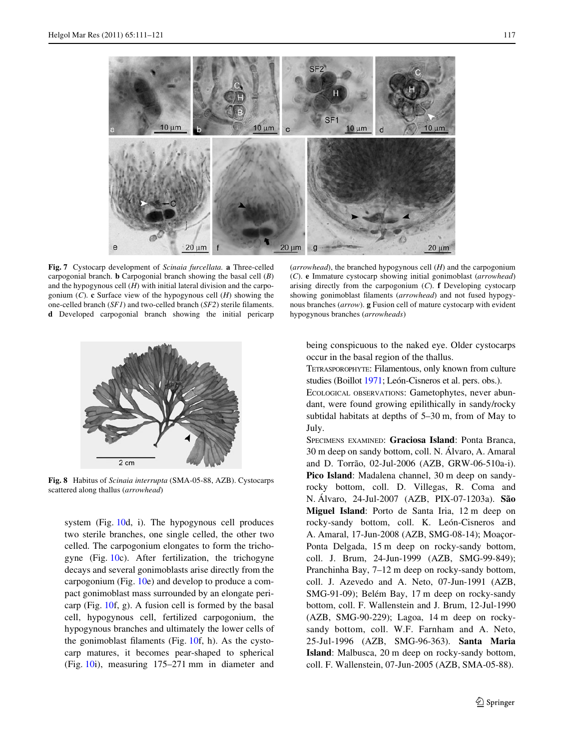

<span id="page-6-0"></span>**Fig. 7** Cystocarp development of *Scinaia furcellata.* **a** Three-celled carpogonial branch. **b** Carpogonial branch showing the basal cell (*B*) and the hypogynous cell (*H*) with initial lateral division and the carpogonium (*C*). **c** Surface view of the hypogynous cell (*H*) showing the one-celled branch  $(SF1)$  and two-celled branch  $(SF2)$  sterile filaments. **d** Developed carpogonial branch showing the initial pericarp



<span id="page-6-1"></span>**Fig. 8** Habitus of *Scinaia interrupta* (SMA-05-88, AZB). Cystocarps scattered along thallus (*arrowhead*)

system (Fig. [10d](#page-8-0), i). The hypogynous cell produces two sterile branches, one single celled, the other two celled. The carpogonium elongates to form the trichogyne (Fig. [10](#page-8-0)c). After fertilization, the trichogyne decays and several gonimoblasts arise directly from the carpogonium (Fig. [10](#page-8-0)e) and develop to produce a compact gonimoblast mass surrounded by an elongate pericarp (Fig. [10](#page-8-0)f, g). A fusion cell is formed by the basal cell, hypogynous cell, fertilized carpogonium, the hypogynous branches and ultimately the lower cells of the gonimoblast filaments (Fig.  $10f$ , h). As the cystocarp matures, it becomes pear-shaped to spherical (Fig. [10i](#page-8-0)), measuring 175–271 mm in diameter and

(*arrowhead*), the branched hypogynous cell (*H*) and the carpogonium (*C*). **e** Immature cystocarp showing initial gonimoblast (*arrowhead*) arising directly from the carpogonium (*C*). **f** Developing cystocarp showing gonimoblast filaments (*arrowhead*) and not fused hypogynous branches (*arrow*). **g** Fusion cell of mature cystocarp with evident hypogynous branches (*arrowheads*)

being conspicuous to the naked eye. Older cystocarps occur in the basal region of the thallus.

TETRASPOROPHYTE: Filamentous, only known from culture studies (Boillot [1971;](#page-9-12) León-Cisneros et al. pers. obs.).

ECOLOGICAL OBSERVATIONS: Gametophytes, never abundant, were found growing epilithically in sandy/rocky subtidal habitats at depths of 5–30 m, from of May to July.

SPECIMENS EXAMINED: **Graciosa Island**: Ponta Branca, 30 m deep on sandy bottom, coll. N. Álvaro, A. Amaral and D. Torrão, 02-Jul-2006 (AZB, GRW-06-510a-i). **Pico Island**: Madalena channel, 30 m deep on sandyrocky bottom, coll. D. Villegas, R. Coma and N. Álvaro, 24-Jul-2007 (AZB, PIX-07-1203a). **São Miguel Island**: Porto de Santa Iria, 12 m deep on rocky-sandy bottom, coll. K. León-Cisneros and A. Amaral, 17-Jun-2008 (AZB, SMG-08-14); Moaçor-Ponta Delgada, 15 m deep on rocky-sandy bottom, coll. J. Brum, 24-Jun-1999 (AZB, SMG-99-849); Pranchinha Bay, 7–12 m deep on rocky-sandy bottom, coll. J. Azevedo and A. Neto, 07-Jun-1991 (AZB, SMG-91-09); Belém Bay, 17 m deep on rocky-sandy bottom, coll. F. Wallenstein and J. Brum, 12-Jul-1990 (AZB, SMG-90-229); Lagoa, 14 m deep on rockysandy bottom, coll. W.F. Farnham and A. Neto, 25-Jul-1996 (AZB, SMG-96-363). **Santa Maria Island**: Malbusca, 20 m deep on rocky-sandy bottom, coll. F. Wallenstein, 07-Jun-2005 (AZB, SMA-05-88).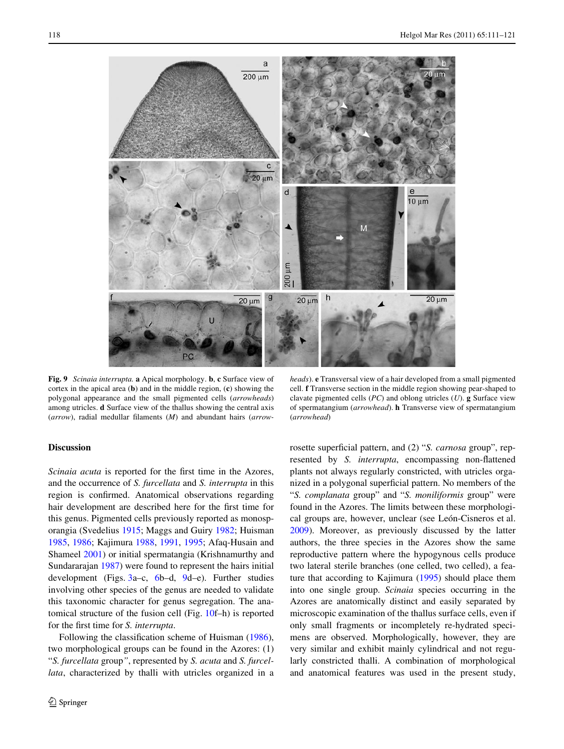

<span id="page-7-0"></span>**Fig. 9** *Scinaia interrupta.* **a** Apical morphology. **b**, **c** Surface view of cortex in the apical area (**b**) and in the middle region, (**c**) showing the polygonal appearance and the small pigmented cells (*arrowheads*) among utricles. **d** Surface view of the thallus showing the central axis (arrow), radial medullar filaments (*M*) and abundant hairs (arrow-

## **Discussion**

*Scinaia acuta* is reported for the first time in the Azores, and the occurrence of *S. furcellata* and *S. interrupta* in this region is confirmed. Anatomical observations regarding hair development are described here for the first time for this genus. Pigmented cells previously reported as monosporangia (Svedelius [1915;](#page-10-13) Maggs and Guiry [1982;](#page-10-14) Huisman [1985](#page-9-13), [1986;](#page-9-14) Kajimura [1988](#page-9-15), [1991,](#page-10-15) [1995](#page-10-16); Afaq-Husain and Shameel [2001](#page-9-16)) or initial spermatangia (Krishnamurthy and Sundararajan [1987](#page-10-17)) were found to represent the hairs initial development (Figs. [3](#page-3-0)a–c, [6](#page-5-0)b–d, [9d](#page-7-0)–e). Further studies involving other species of the genus are needed to validate this taxonomic character for genus segregation. The anatomical structure of the fusion cell (Fig. [10](#page-8-0)f–h) is reported for the first time for *S. interrupta*.

Following the classification scheme of Huisman [\(1986](#page-9-14)), two morphological groups can be found in the Azores: (1) "*S. furcellata* group*"*, represented by *S. acuta* and *S. furcellata*, characterized by thalli with utricles organized in a

*heads*). **e** Transversal view of a hair developed from a small pigmented cell. **f** Transverse section in the middle region showing pear-shaped to clavate pigmented cells (*PC*) and oblong utricles (*U*). **g** Surface view of spermatangium (*arrowhead*). **h** Transverse view of spermatangium (*arrowhead*)

rosette superficial pattern, and (2) "*S. carnosa* group", represented by *S. interrupta*, encompassing non-flattened plants not always regularly constricted, with utricles organized in a polygonal superficial pattern. No members of the "*S. complanata* group" and "*S. moniliformis* group" were found in the Azores. The limits between these morphological groups are, however, unclear (see León-Cisneros et al. [2009](#page-10-1)). Moreover, as previously discussed by the latter authors, the three species in the Azores show the same reproductive pattern where the hypogynous cells produce two lateral sterile branches (one celled, two celled), a feature that according to Kajimura ([1995\)](#page-10-16) should place them into one single group. *Scinaia* species occurring in the Azores are anatomically distinct and easily separated by microscopic examination of the thallus surface cells, even if only small fragments or incompletely re-hydrated specimens are observed. Morphologically, however, they are very similar and exhibit mainly cylindrical and not regularly constricted thalli. A combination of morphological and anatomical features was used in the present study,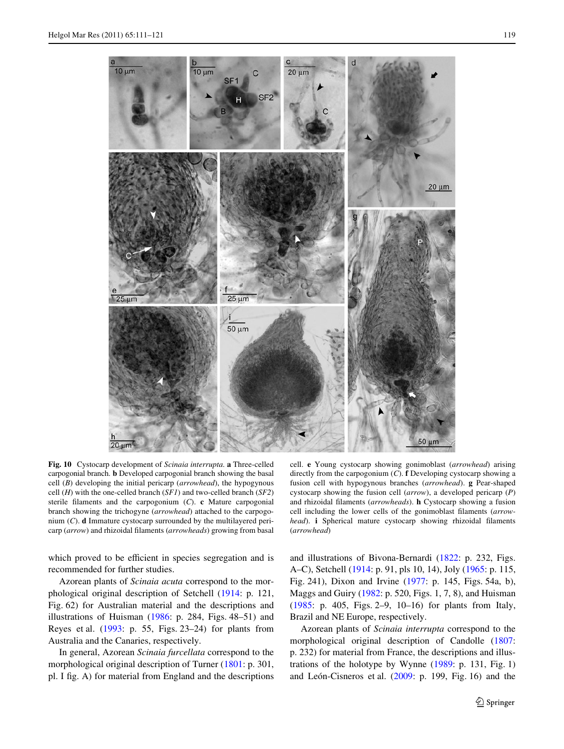

<span id="page-8-0"></span>**Fig. 10** Cystocarp development of *Scinaia interrupta.* **a** Three-celled carpogonial branch. **b** Developed carpogonial branch showing the basal cell (*B*) developing the initial pericarp (*arrowhead*), the hypogynous cell (*H*) with the one-celled branch (*SF1*) and two-celled branch (*SF2*) sterile filaments and the carpogonium  $(C)$ . **c** Mature carpogonial branch showing the trichogyne (*arrowhead*) attached to the carpogonium (*C*). **d** Immature cystocarp surrounded by the multilayered pericarp (*arrow*) and rhizoidal filaments (*arrowheads*) growing from basal

which proved to be efficient in species segregation and is recommended for further studies.

Azorean plants of *Scinaia acuta* correspond to the morphological original description of Setchell [\(1914](#page-10-3): p. 121, Fig. 62) for Australian material and the descriptions and illustrations of Huisman ([1986](#page-9-14): p. 284, Figs. 48–51) and Reyes et al. ([1993:](#page-10-18) p. 55, Figs. 23–24) for plants from Australia and the Canaries, respectively.

In general, Azorean *Scinaia furcellata* correspond to the morphological original description of Turner [\(1801](#page-10-4): p. 301, pl. I fig. A) for material from England and the descriptions

cell. **e** Young cystocarp showing gonimoblast (*arrowhead*) arising directly from the carpogonium (*C*). **f** Developing cystocarp showing a fusion cell with hypogynous branches (*arrowhead*). **g** Pear-shaped cystocarp showing the fusion cell (*arrow*), a developed pericarp (*P*) and rhizoidal filaments (*arrowheads*). **h** Cystocarp showing a fusion cell including the lower cells of the gonimoblast filaments (arrow*head*). **i** Spherical mature cystocarp showing rhizoidal filaments (*arrowhead*)

and illustrations of Bivona-Bernardi ([1822:](#page-9-17) p. 232, Figs. A–C), Setchell [\(1914](#page-10-3): p. 91, pls 10, 14), Joly ([1965:](#page-9-18) p. 115, Fig. 241), Dixon and Irvine [\(1977](#page-9-19): p. 145, Figs. 54a, b), Maggs and Guiry [\(1982:](#page-10-14) p. 520, Figs. 1, 7, 8), and Huisman [\(1985:](#page-9-13) p. 405, Figs. 2–9, 10–16) for plants from Italy, Brazil and NE Europe, respectively.

Azorean plants of *Scinaia interrupta* correspond to the morphological original description of Candolle ([1807:](#page-9-8) p. 232) for material from France, the descriptions and illustrations of the holotype by Wynne ([1989:](#page-10-11) p. 131, Fig. 1) and León-Cisneros et al. ([2009:](#page-10-1) p. 199, Fig. 16) and the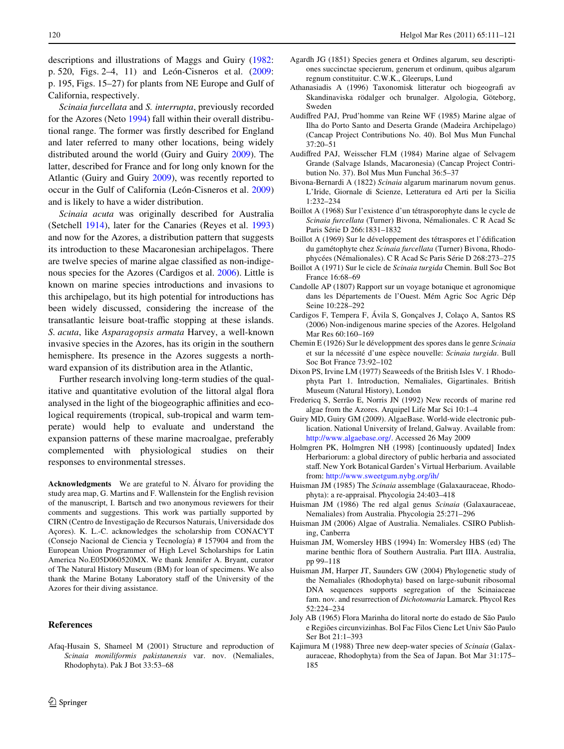descriptions and illustrations of Maggs and Guiry [\(1982](#page-10-14): p. 520, Figs. 2–4, 11) and León-Cisneros et al. [\(2009](#page-10-1): p. 195, Figs. 15–27) for plants from NE Europe and Gulf of California, respectively.

*Scinaia furcellata* and *S. interrupta*, previously recorded for the Azores (Neto [1994](#page-10-9)) fall within their overall distributional range. The former was firstly described for England and later referred to many other locations, being widely distributed around the world (Guiry and Guiry [2009](#page-9-2)). The latter, described for France and for long only known for the Atlantic (Guiry and Guiry [2009](#page-9-2)), was recently reported to occur in the Gulf of California (León-Cisneros et al. [2009\)](#page-10-1) and is likely to have a wider distribution.

*Scinaia acuta* was originally described for Australia (Setchell [1914](#page-10-3)), later for the Canaries (Reyes et al. [1993\)](#page-10-18) and now for the Azores, a distribution pattern that suggests its introduction to these Macaronesian archipelagos. There are twelve species of marine algae classified as non-indigenous species for the Azores (Cardigos et al. [2006](#page-9-20)). Little is known on marine species introductions and invasions to this archipelago, but its high potential for introductions has been widely discussed, considering the increase of the transatlantic leisure boat-traffic stopping at these islands. *S. acuta*, like *Asparagopsis armata* Harvey, a well-known invasive species in the Azores, has its origin in the southern hemisphere. Its presence in the Azores suggests a northward expansion of its distribution area in the Atlantic,

Further research involving long-term studies of the qualitative and quantitative evolution of the littoral algal flora analysed in the light of the biogeographic affinities and ecological requirements (tropical, sub-tropical and warm temperate) would help to evaluate and understand the expansion patterns of these marine macroalgae, preferably complemented with physiological studies on their responses to environmental stresses.

**Acknowledgments** We are grateful to N. Álvaro for providing the study area map, G. Martins and F. Wallenstein for the English revision of the manuscript, I. Bartsch and two anonymous reviewers for their comments and suggestions. This work was partially supported by CIRN (Centro de Investigação de Recursos Naturais, Universidade dos Açores). K. L.-C. acknowledges the scholarship from CONACYT (Consejo Nacional de Ciencia y Tecnología) # 157904 and from the European Union Programmer of High Level Scholarships for Latin America No.E05D060520MX. We thank Jennifer A. Bryant, curator of The Natural History Museum (BM) for loan of specimens. We also thank the Marine Botany Laboratory staff of the University of the Azores for their diving assistance.

## **References**

<span id="page-9-16"></span>Afaq-Husain S, Shameel M (2001) Structure and reproduction of *Scinaia moniliformis pakistanensis* var. nov. (Nemaliales, Rhodophyta). Pak J Bot 33:53–68

- <span id="page-9-3"></span>Agardh JG (1851) Species genera et Ordines algarum, seu descriptiones succinctae specierum, generum et ordinum, quibus algarum regnum constituitur. C.W.K., Gleerups, Lund
- <span id="page-9-9"></span>Athanasiadis A (1996) Taxonomisk litteratur och biogeografi av Skandinaviska rödalger och brunalger. Algologia, Göteborg, Sweden
- <span id="page-9-5"></span>Audiffred PAJ, Prud'homme van Reine WF (1985) Marine algae of Ilha do Porto Santo and Deserta Grande (Madeira Archipelago) (Cancap Project Contributions No. 40). Bol Mus Mun Funchal 37:20–51
- <span id="page-9-4"></span>Audiffred PAJ, Weisscher FLM (1984) Marine algae of Selvagem Grande (Salvage Islands, Macaronesia) (Cancap Project Contribution No. 37). Bol Mus Mun Funchal 36:5–37
- <span id="page-9-17"></span>Bivona-Bernardi A (1822) *Scinaia* algarum marinarum novum genus. L'Iride, Giornale di Scienze, Letteratura ed Arti per la Sicilia 1:232–234
- <span id="page-9-6"></span>Boillot A (1968) Sur l'existence d'un tétrasporophyte dans le cycle de *Scinaia furcellata* (Turner) Bivona, Némalionales. C R Acad Sc Paris Série D 266:1831–1832
- <span id="page-9-7"></span>Boillot A (1969) Sur le développement des tétraspores et l'édification du gamétophyte chez *Scinaia furcellata* (Turner) Bivona, Rhodophycées (Némalionales). C R Acad Sc Paris Série D 268:273–275
- <span id="page-9-12"></span>Boillot A (1971) Sur le cicle de *Scinaia turgida* Chemin. Bull Soc Bot France 16:68–69
- <span id="page-9-8"></span>Candolle AP (1807) Rapport sur un voyage botanique et agronomique dans les Départements de l'Ouest. Mém Agric Soc Agric Dép Seine 10:228–292
- <span id="page-9-20"></span>Cardigos F, Tempera F, Ávila S, Gonçalves J, Colaço A, Santos RS (2006) Non-indigenous marine species of the Azores. Helgoland Mar Res 60:160–169
- <span id="page-9-10"></span>Chemin E (1926) Sur le développment des spores dans le genre *Scinaia* et sur la nécessité d'une espèce nouvelle: *Scinaia turgida*. Bull Soc Bot France 73:92–102
- <span id="page-9-19"></span>Dixon PS, Irvine LM (1977) Seaweeds of the British Isles V. 1 Rhodophyta Part 1. Introduction, Nemaliales, Gigartinales. British Museum (Natural History), London
- <span id="page-9-11"></span>Fredericq S, Serrão E, Norris JN (1992) New records of marine red algae from the Azores. Arquipel Life Mar Sci 10:1–4
- <span id="page-9-2"></span>Guiry MD, Guiry GM (2009). AlgaeBase. World-wide electronic publication. National University of Ireland, Galway. Available from: [http://www.algaebase.org/.](http://www.algaebase.org/) Accessed 26 May 2009
- <span id="page-9-0"></span>Holmgren PK, Holmgren NH (1998) [continuously updated] Index Herbariorum: a global directory of public herbaria and associated staff. New York Botanical Garden's Virtual Herbarium. Available from:<http://www.sweetgum.nybg.org/ih/>
- <span id="page-9-13"></span>Huisman JM (1985) The *Scinaia* assemblage (Galaxauraceae, Rhodophyta): a re-appraisal. Phycologia 24:403–418
- <span id="page-9-14"></span>Huisman JM (1986) The red algal genus *Scinaia* (Galaxauraceae, Nemaliales) from Australia. Phycologia 25:271–296
- <span id="page-9-1"></span>Huisman JM (2006) Algae of Australia. Nemaliales. CSIRO Publishing, Canberra
- Huisman JM, Womersley HBS (1994) In: Womersley HBS (ed) The marine benthic flora of Southern Australia. Part IIIA. Australia, pp 99–118
- Huisman JM, Harper JT, Saunders GW (2004) Phylogenetic study of the Nemaliales (Rhodophyta) based on large-subunit ribosomal DNA sequences supports segregation of the Scinaiaceae fam. nov. and resurrection of *Dichotomaria* Lamarck. Phycol Res 52:224–234
- <span id="page-9-18"></span>Joly AB (1965) Flora Marinha do litoral norte do estado de São Paulo e Regiões circunvizinhas. Bol Fac Filos Cienc Let Univ São Paulo Ser Bot 21:1–393
- <span id="page-9-15"></span>Kajimura M (1988) Three new deep-water species of *Scinaia* (Galaxauraceae, Rhodophyta) from the Sea of Japan. Bot Mar 31:175– 185